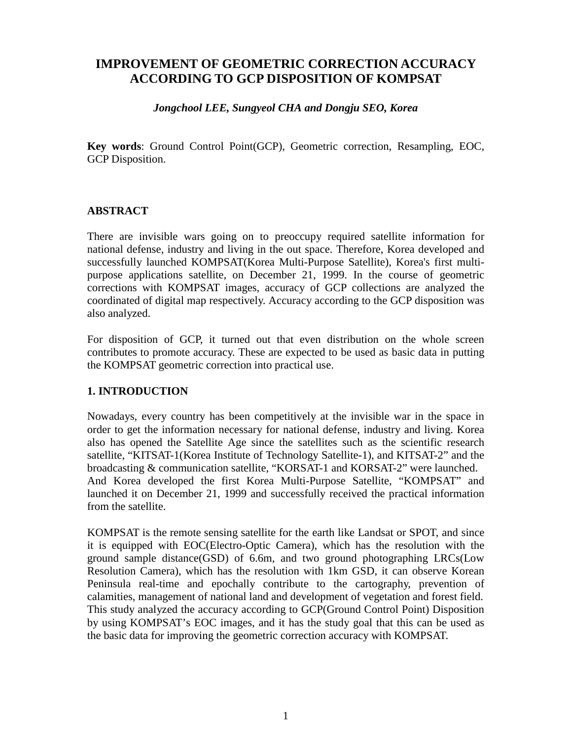# **IMPROVEMENT OF GEOMETRIC CORRECTION ACCURACY ACCORDING TO GCP DISPOSITION OF KOMPSAT**

### *Jongchool LEE, Sungyeol CHA and Dongju SEO, Korea*

**Key words**: Ground Control Point(GCP), Geometric correction, Resampling, EOC, GCP Disposition.

### **ABSTRACT**

There are invisible wars going on to preoccupy required satellite information for national defense, industry and living in the out space. Therefore, Korea developed and successfully launched KOMPSAT(Korea Multi-Purpose Satellite), Korea's first multipurpose applications satellite, on December 21, 1999. In the course of geometric corrections with KOMPSAT images, accuracy of GCP collections are analyzed the coordinated of digital map respectively. Accuracy according to the GCP disposition was also analyzed.

For disposition of GCP, it turned out that even distribution on the whole screen contributes to promote accuracy. These are expected to be used as basic data in putting the KOMPSAT geometric correction into practical use.

### **1. INTRODUCTION**

Nowadays, every country has been competitively at the invisible war in the space in order to get the information necessary for national defense, industry and living. Korea also has opened the Satellite Age since the satellites such as the scientific research satellite, "KITSAT-1(Korea Institute of Technology Satellite-1), and KITSAT-2" and the broadcasting & communication satellite, "KORSAT-1 and KORSAT-2" were launched. And Korea developed the first Korea Multi-Purpose Satellite, "KOMPSAT" and launched it on December 21, 1999 and successfully received the practical information from the satellite.

KOMPSAT is the remote sensing satellite for the earth like Landsat or SPOT, and since it is equipped with EOC(Electro-Optic Camera), which has the resolution with the ground sample distance(GSD) of 6.6m, and two ground photographing LRCs(Low Resolution Camera), which has the resolution with 1km GSD, it can observe Korean Peninsula real-time and epochally contribute to the cartography, prevention of calamities, management of national land and development of vegetation and forest field. This study analyzed the accuracy according to GCP(Ground Control Point) Disposition by using KOMPSAT's EOC images, and it has the study goal that this can be used as the basic data for improving the geometric correction accuracy with KOMPSAT.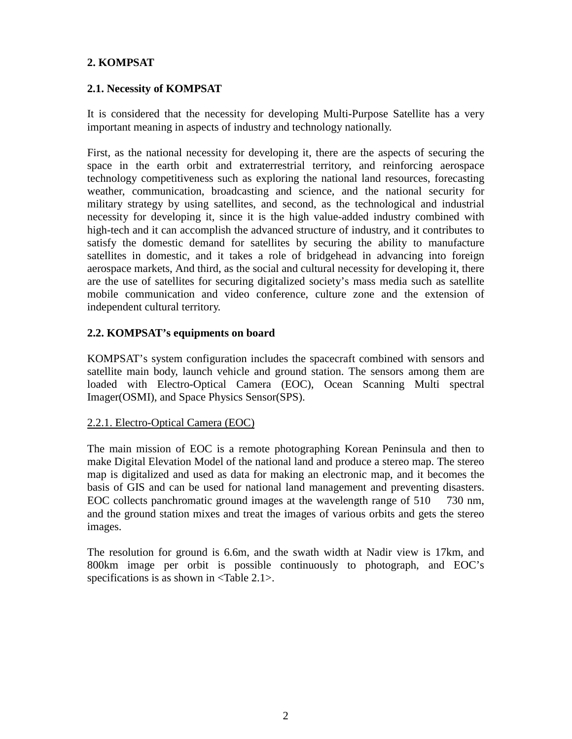# **2. KOMPSAT**

# **2.1. Necessity of KOMPSAT**

It is considered that the necessity for developing Multi-Purpose Satellite has a very important meaning in aspects of industry and technology nationally.

First, as the national necessity for developing it, there are the aspects of securing the space in the earth orbit and extraterrestrial territory, and reinforcing aerospace technology competitiveness such as exploring the national land resources, forecasting weather, communication, broadcasting and science, and the national security for military strategy by using satellites, and second, as the technological and industrial necessity for developing it, since it is the high value-added industry combined with high-tech and it can accomplish the advanced structure of industry, and it contributes to satisfy the domestic demand for satellites by securing the ability to manufacture satellites in domestic, and it takes a role of bridgehead in advancing into foreign aerospace markets, And third, as the social and cultural necessity for developing it, there are the use of satellites for securing digitalized society's mass media such as satellite mobile communication and video conference, culture zone and the extension of independent cultural territory.

## **2.2. KOMPSAT's equipments on board**

KOMPSAT's system configuration includes the spacecraft combined with sensors and satellite main body, launch vehicle and ground station. The sensors among them are loaded with Electro-Optical Camera (EOC), Ocean Scanning Multi spectral Imager(OSMI), and Space Physics Sensor(SPS).

### 2.2.1. Electro-Optical Camera (EOC)

The main mission of EOC is a remote photographing Korean Peninsula and then to make Digital Elevation Model of the national land and produce a stereo map. The stereo map is digitalized and used as data for making an electronic map, and it becomes the basis of GIS and can be used for national land management and preventing disasters. EOC collects panchromatic ground images at the wavelength range of 510 730 nm, and the ground station mixes and treat the images of various orbits and gets the stereo images.

The resolution for ground is 6.6m, and the swath width at Nadir view is 17km, and 800km image per orbit is possible continuously to photograph, and EOC's specifications is as shown in  $\langle \text{Table 2.1>} \rangle$ .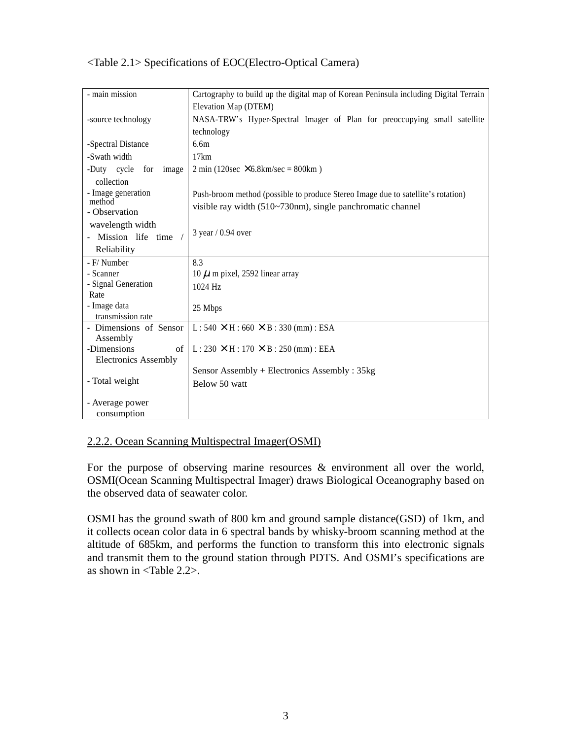| - main mission              | Cartography to build up the digital map of Korean Peninsula including Digital Terrain |  |  |  |  |
|-----------------------------|---------------------------------------------------------------------------------------|--|--|--|--|
|                             |                                                                                       |  |  |  |  |
|                             | Elevation Map (DTEM)                                                                  |  |  |  |  |
| -source technology          | NASA-TRW's Hyper-Spectral Imager of Plan for preoccupying small satellite             |  |  |  |  |
|                             | technology                                                                            |  |  |  |  |
| -Spectral Distance          | 6.6m                                                                                  |  |  |  |  |
| -Swath width                | 17km                                                                                  |  |  |  |  |
| -Duty cycle<br>for<br>image | $2 \text{ min } (120 \text{sec } \times 6.8 \text{km/sec} = 800 \text{km } )$         |  |  |  |  |
| collection                  |                                                                                       |  |  |  |  |
| - Image generation          | Push-broom method (possible to produce Stereo Image due to satellite's rotation)      |  |  |  |  |
| method                      | visible ray width (510~730nm), single panchromatic channel                            |  |  |  |  |
| - Observation               |                                                                                       |  |  |  |  |
| wavelength width            |                                                                                       |  |  |  |  |
| - Mission life time         | $3$ year / 0.94 over                                                                  |  |  |  |  |
| Reliability                 |                                                                                       |  |  |  |  |
| - F/ Number                 | 8.3                                                                                   |  |  |  |  |
| - Scanner                   | 10 $\mu$ m pixel, 2592 linear array                                                   |  |  |  |  |
| - Signal Generation         | 1024 Hz                                                                               |  |  |  |  |
| Rate                        |                                                                                       |  |  |  |  |
| - Image data                | 25 Mbps                                                                               |  |  |  |  |
| transmission rate           |                                                                                       |  |  |  |  |
| - Dimensions of Sensor      | $L: 540 \times H: 660 \times B: 330 \text{ (mm)}: ESA$                                |  |  |  |  |
| Assembly                    |                                                                                       |  |  |  |  |
| -Dimensions<br>of           | $L: 230 \times H: 170 \times B: 250 \text{ (mm)}: EEA$                                |  |  |  |  |
| <b>Electronics Assembly</b> |                                                                                       |  |  |  |  |
|                             | Sensor Assembly + Electronics Assembly : $35kg$                                       |  |  |  |  |
| - Total weight              | Below 50 watt                                                                         |  |  |  |  |
|                             |                                                                                       |  |  |  |  |
| - Average power             |                                                                                       |  |  |  |  |
| consumption                 |                                                                                       |  |  |  |  |

# <Table 2.1> Specifications of EOC(Electro-Optical Camera)

# 2.2.2. Ocean Scanning Multispectral Imager(OSMI)

For the purpose of observing marine resources & environment all over the world, OSMI(Ocean Scanning Multispectral Imager) draws Biological Oceanography based on the observed data of seawater color.

OSMI has the ground swath of 800 km and ground sample distance(GSD) of 1km, and it collects ocean color data in 6 spectral bands by whisky-broom scanning method at the altitude of 685km, and performs the function to transform this into electronic signals and transmit them to the ground station through PDTS. And OSMI's specifications are as shown in <Table 2.2>.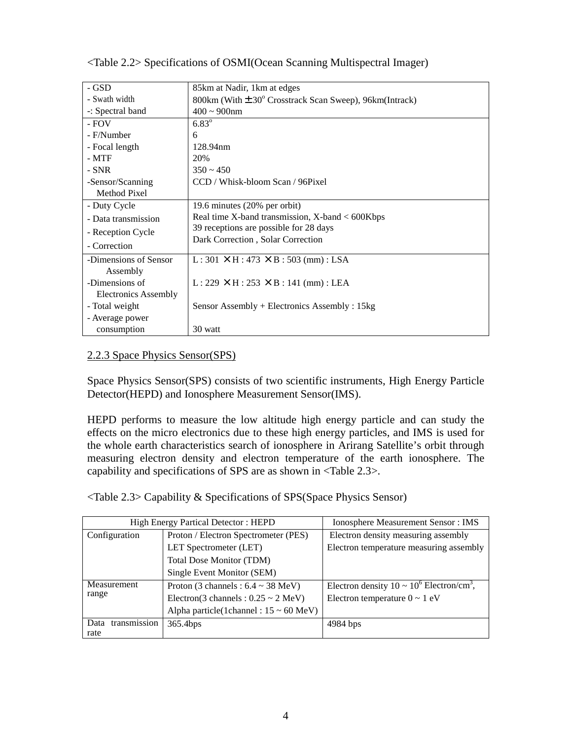| - GSD                 | 85 km at Nadir, 1 km at edges                                          |
|-----------------------|------------------------------------------------------------------------|
| - Swath width         | 800km (With $\pm$ 30 $^{\circ}$ Crosstrack Scan Sweep), 96km (Intrack) |
| -: Spectral band      | $400 \sim 900$ nm                                                      |
| - FOV                 | $6.83^{\circ}$                                                         |
| - F/Number            | 6                                                                      |
| - Focal length        | 128.94nm                                                               |
| $-MTF$                | 20%                                                                    |
| $-SNR$                | $350 \approx 450$                                                      |
| -Sensor/Scanning      | CCD / Whisk-bloom Scan / 96Pixel                                       |
| Method Pixel          |                                                                        |
| - Duty Cycle          | 19.6 minutes (20% per orbit)                                           |
| - Data transmission   | Real time X-band transmission, $X$ -band $<$ 600Kbps                   |
| - Reception Cycle     | 39 receptions are possible for 28 days                                 |
| - Correction          | Dark Correction, Solar Correction                                      |
|                       |                                                                        |
| -Dimensions of Sensor | $L: 301 \times H: 473 \times B: 503$ (mm): LSA                         |
| Assembly              |                                                                        |
| -Dimensions of        | $L: 229 \times H: 253 \times B: 141 \text{ (mm)}: LEA$                 |
| Electronics Assembly  |                                                                        |
| - Total weight        | Sensor Assembly + Electronics Assembly : 15kg                          |
| - Average power       |                                                                        |
| consumption           | 30 watt                                                                |

<Table 2.2> Specifications of OSMI(Ocean Scanning Multispectral Imager)

# 2.2.3 Space Physics Sensor(SPS)

Space Physics Sensor(SPS) consists of two scientific instruments, High Energy Particle Detector(HEPD) and Ionosphere Measurement Sensor(IMS).

HEPD performs to measure the low altitude high energy particle and can study the effects on the micro electronics due to these high energy particles, and IMS is used for the whole earth characteristics search of ionosphere in Arirang Satellite's orbit through measuring electron density and electron temperature of the earth ionosphere. The capability and specifications of SPS are as shown in <Table 2.3>.

|  |  | <table 2.3=""> Capability &amp; Specifications of SPS(Space Physics Sensor)</table> |
|--|--|-------------------------------------------------------------------------------------|
|--|--|-------------------------------------------------------------------------------------|

|                      | High Energy Partical Detector: HEPD                  | <b>Ionosphere Measurement Sensor: IMS</b>                  |  |  |
|----------------------|------------------------------------------------------|------------------------------------------------------------|--|--|
| Configuration        | Proton / Electron Spectrometer (PES)                 | Electron density measuring assembly                        |  |  |
|                      | LET Spectrometer (LET)                               | Electron temperature measuring assembly                    |  |  |
|                      | <b>Total Dose Monitor (TDM)</b>                      |                                                            |  |  |
|                      | Single Event Monitor (SEM)                           |                                                            |  |  |
| Measurement          | Proton (3 channels : $6.4 \sim 38$ MeV)              | Electron density $10 \sim 10^6$ Electron/cm <sup>3</sup> , |  |  |
| range                | Electron(3 channels : $0.25 \sim 2$ MeV)             | Electron temperature $0 \sim 1$ eV                         |  |  |
|                      | Alpha particle(1channel : $15 \sim 60 \text{ MeV}$ ) |                                                            |  |  |
| transmission<br>Data | 365.4bps                                             | 4984 bps                                                   |  |  |
| rate                 |                                                      |                                                            |  |  |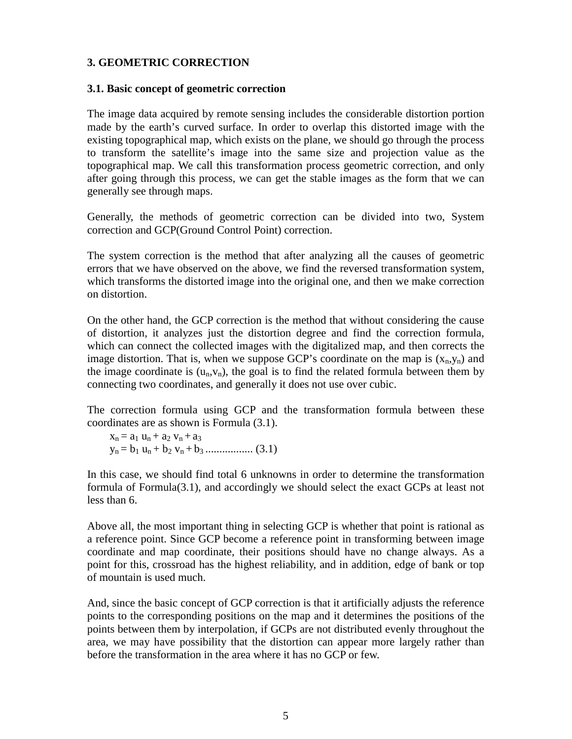### **3. GEOMETRIC CORRECTION**

#### **3.1. Basic concept of geometric correction**

The image data acquired by remote sensing includes the considerable distortion portion made by the earth's curved surface. In order to overlap this distorted image with the existing topographical map, which exists on the plane, we should go through the process to transform the satellite's image into the same size and projection value as the topographical map. We call this transformation process geometric correction, and only after going through this process, we can get the stable images as the form that we can generally see through maps.

Generally, the methods of geometric correction can be divided into two, System correction and GCP(Ground Control Point) correction.

The system correction is the method that after analyzing all the causes of geometric errors that we have observed on the above, we find the reversed transformation system, which transforms the distorted image into the original one, and then we make correction on distortion.

On the other hand, the GCP correction is the method that without considering the cause of distortion, it analyzes just the distortion degree and find the correction formula, which can connect the collected images with the digitalized map, and then corrects the image distortion. That is, when we suppose GCP's coordinate on the map is  $(x_n, y_n)$  and the image coordinate is  $(u_n,v_n)$ , the goal is to find the related formula between them by connecting two coordinates, and generally it does not use over cubic.

The correction formula using GCP and the transformation formula between these coordinates are as shown is Formula (3.1).

 $x_n = a_1 u_n + a_2 v_n + a_3$  $y_n = b_1 u_n + b_2 v_n + b_3 \dots (3.1)$ 

In this case, we should find total 6 unknowns in order to determine the transformation formula of Formula(3.1), and accordingly we should select the exact GCPs at least not less than 6.

Above all, the most important thing in selecting GCP is whether that point is rational as a reference point. Since GCP become a reference point in transforming between image coordinate and map coordinate, their positions should have no change always. As a point for this, crossroad has the highest reliability, and in addition, edge of bank or top of mountain is used much.

And, since the basic concept of GCP correction is that it artificially adjusts the reference points to the corresponding positions on the map and it determines the positions of the points between them by interpolation, if GCPs are not distributed evenly throughout the area, we may have possibility that the distortion can appear more largely rather than before the transformation in the area where it has no GCP or few.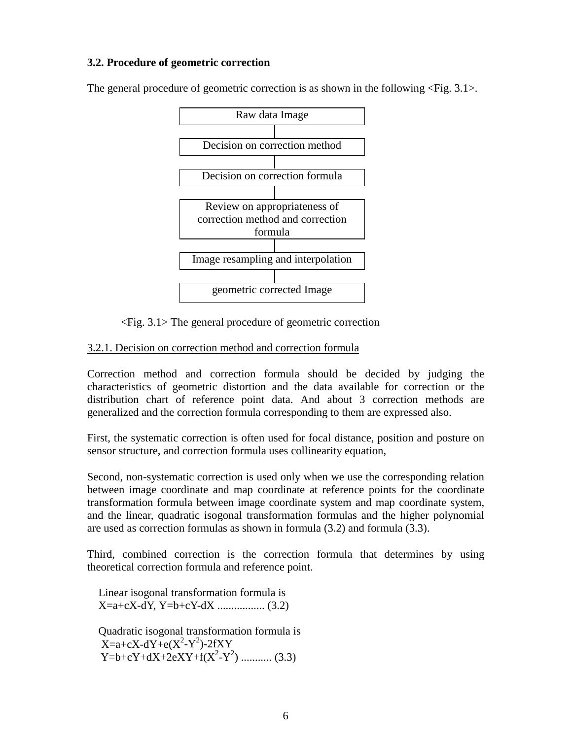### **3.2. Procedure of geometric correction**

The general procedure of geometric correction is as shown in the following <Fig. 3.1>.



<Fig. 3.1> The general procedure of geometric correction

# 3.2.1. Decision on correction method and correction formula

Correction method and correction formula should be decided by judging the characteristics of geometric distortion and the data available for correction or the distribution chart of reference point data. And about 3 correction methods are generalized and the correction formula corresponding to them are expressed also.

First, the systematic correction is often used for focal distance, position and posture on sensor structure, and correction formula uses collinearity equation,

Second, non-systematic correction is used only when we use the corresponding relation between image coordinate and map coordinate at reference points for the coordinate transformation formula between image coordinate system and map coordinate system, and the linear, quadratic isogonal transformation formulas and the higher polynomial are used as correction formulas as shown in formula (3.2) and formula (3.3).

Third, combined correction is the correction formula that determines by using theoretical correction formula and reference point.

Linear isogonal transformation formula is X=a+cX-dY, Y=b+cY-dX ................. (3.2)

Quadratic isogonal transformation formula is  $X=a+cX-dY+e(X^2-Y^2)$ -2fXY  $Y=b+cY+dX+2eXY+f(X^2-Y^2)$  ............ (3.3)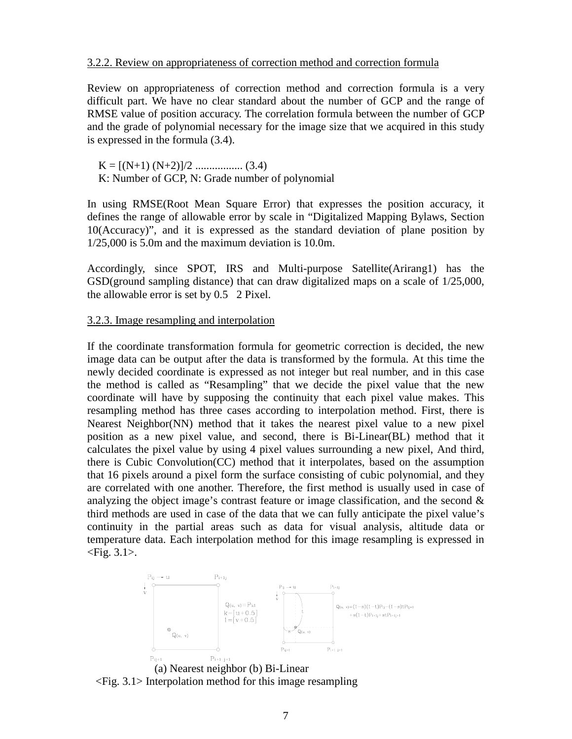#### 3.2.2. Review on appropriateness of correction method and correction formula

Review on appropriateness of correction method and correction formula is a very difficult part. We have no clear standard about the number of GCP and the range of RMSE value of position accuracy. The correlation formula between the number of GCP and the grade of polynomial necessary for the image size that we acquired in this study is expressed in the formula (3.4).

K = [(N+1) (N+2)]/2 ................. (3.4) K: Number of GCP, N: Grade number of polynomial

In using RMSE(Root Mean Square Error) that expresses the position accuracy, it defines the range of allowable error by scale in "Digitalized Mapping Bylaws, Section 10(Accuracy)", and it is expressed as the standard deviation of plane position by 1/25,000 is 5.0m and the maximum deviation is 10.0m.

Accordingly, since SPOT, IRS and Multi-purpose Satellite(Arirang1) has the GSD(ground sampling distance) that can draw digitalized maps on a scale of 1/25,000, the allowable error is set by 0.5 2 Pixel.

### 3.2.3. Image resampling and interpolation

If the coordinate transformation formula for geometric correction is decided, the new image data can be output after the data is transformed by the formula. At this time the newly decided coordinate is expressed as not integer but real number, and in this case the method is called as "Resampling" that we decide the pixel value that the new coordinate will have by supposing the continuity that each pixel value makes. This resampling method has three cases according to interpolation method. First, there is Nearest Neighbor(NN) method that it takes the nearest pixel value to a new pixel position as a new pixel value, and second, there is Bi-Linear(BL) method that it calculates the pixel value by using 4 pixel values surrounding a new pixel, And third, there is Cubic Convolution(CC) method that it interpolates, based on the assumption that 16 pixels around a pixel form the surface consisting of cubic polynomial, and they are correlated with one another. Therefore, the first method is usually used in case of analyzing the object image's contrast feature or image classification, and the second  $\&$ third methods are used in case of the data that we can fully anticipate the pixel value's continuity in the partial areas such as data for visual analysis, altitude data or temperature data. Each interpolation method for this image resampling is expressed in  $\langle$ Fig. 3.1 $\rangle$ .



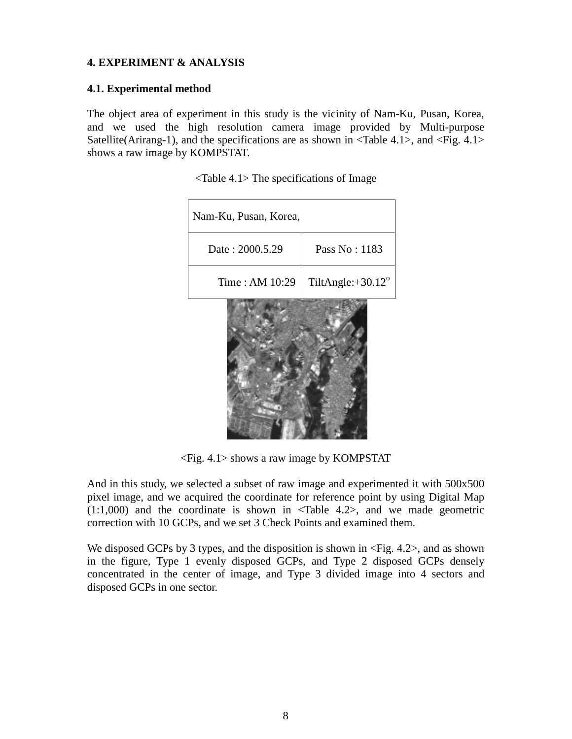# **4. EXPERIMENT & ANALYSIS**

# **4.1. Experimental method**

The object area of experiment in this study is the vicinity of Nam-Ku, Pusan, Korea, and we used the high resolution camera image provided by Multi-purpose Satellite(Arirang-1), and the specifications are as shown in  $\langle \text{Table 4.1}\rangle$ , and  $\langle \text{Fig. 4.1}\rangle$ shows a raw image by KOMPSTAT.

| Nam-Ku, Pusan, Korea, |                             |
|-----------------------|-----------------------------|
| Date: 2000.5.29       | Pass No: 1183               |
| Time: AM 10:29        | TiltAngle: $+30.12^{\circ}$ |
|                       |                             |

<Table 4.1> The specifications of Image

<Fig. 4.1> shows a raw image by KOMPSTAT

And in this study, we selected a subset of raw image and experimented it with 500x500 pixel image, and we acquired the coordinate for reference point by using Digital Map  $(1:1,000)$  and the coordinate is shown in  $\langle \text{Table 4.2}\rangle$ , and we made geometric correction with 10 GCPs, and we set 3 Check Points and examined them.

We disposed GCPs by 3 types, and the disposition is shown in  $\langle$ Fig. 4.2>, and as shown in the figure, Type 1 evenly disposed GCPs, and Type 2 disposed GCPs densely concentrated in the center of image, and Type 3 divided image into 4 sectors and disposed GCPs in one sector.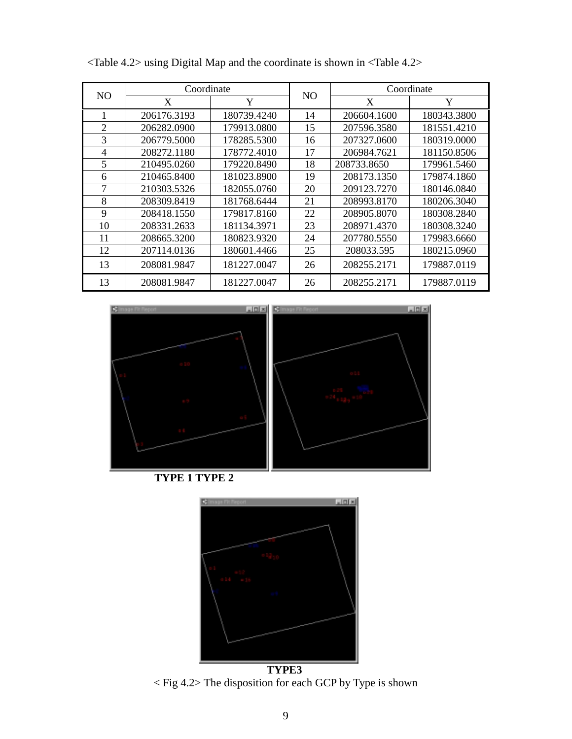| N <sub>O</sub> | Coordinate  |             |                | Coordinate                                                                                                                                                                           |             |  |
|----------------|-------------|-------------|----------------|--------------------------------------------------------------------------------------------------------------------------------------------------------------------------------------|-------------|--|
|                | X           | Y           | N <sub>O</sub> | X<br>206604.1600<br>207596.3580<br>207327.0600<br>206984.7621<br>208733.8650<br>208173.1350<br>209123.7270<br>208993.8170<br>208905.8070<br>208971.4370<br>207780.5550<br>208033.595 | Y           |  |
| 1              | 206176.3193 | 180739.4240 | 14             |                                                                                                                                                                                      | 180343.3800 |  |
| 2              | 206282.0900 | 179913.0800 | 15             |                                                                                                                                                                                      | 181551.4210 |  |
| 3              | 206779.5000 | 178285.5300 | 16             |                                                                                                                                                                                      | 180319.0000 |  |
| 4              | 208272.1180 | 178772.4010 | 17             |                                                                                                                                                                                      | 181150.8506 |  |
| 5              | 210495.0260 | 179220.8490 | 18             |                                                                                                                                                                                      | 179961.5460 |  |
| 6              | 210465.8400 | 181023.8900 | 19             |                                                                                                                                                                                      | 179874.1860 |  |
| 7              | 210303.5326 | 182055.0760 | 20             |                                                                                                                                                                                      | 180146.0840 |  |
| 8              | 208309.8419 | 181768.6444 | 21             |                                                                                                                                                                                      | 180206.3040 |  |
| 9              | 208418.1550 | 179817.8160 | 22             |                                                                                                                                                                                      | 180308.2840 |  |
| 10             | 208331.2633 | 181134.3971 | 23             |                                                                                                                                                                                      | 180308.3240 |  |
| 11             | 208665.3200 | 180823.9320 | 24             |                                                                                                                                                                                      | 179983.6660 |  |
| 12             | 207114.0136 | 180601.4466 | 25             |                                                                                                                                                                                      | 180215.0960 |  |
| 13             | 208081.9847 | 181227.0047 | 26             | 208255.2171                                                                                                                                                                          | 179887.0119 |  |
| 13             | 208081.9847 | 181227.0047 | 26             | 208255.2171                                                                                                                                                                          | 179887.0119 |  |

<Table 4.2> using Digital Map and the coordinate is shown in <Table 4.2>



**TYPE 1 TYPE 2**



**TYPE3** < Fig 4.2> The disposition for each GCP by Type is shown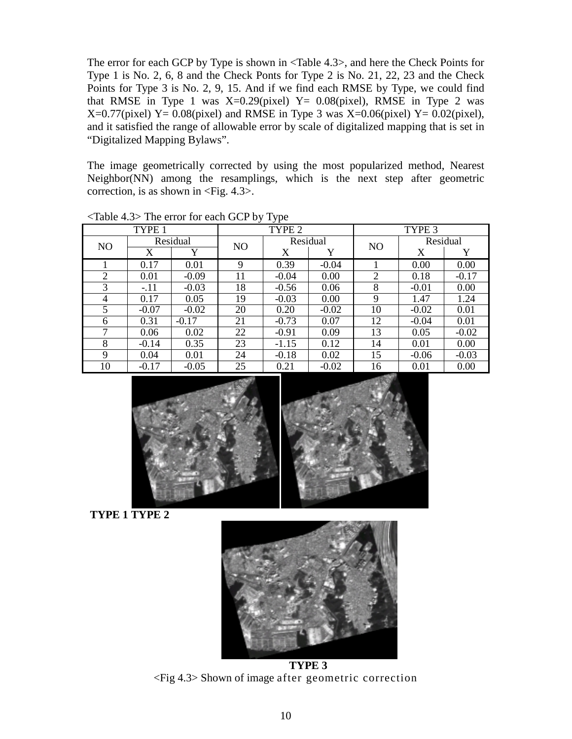The error for each GCP by Type is shown in <Table 4.3>, and here the Check Points for Type 1 is No. 2, 6, 8 and the Check Ponts for Type 2 is No. 21, 22, 23 and the Check Points for Type 3 is No. 2, 9, 15. And if we find each RMSE by Type, we could find that RMSE in Type 1 was  $X=0.29$ (pixel)  $Y= 0.08$ (pixel), RMSE in Type 2 was  $X=0.77$ (pixel) Y = 0.08(pixel) and RMSE in Type 3 was X = 0.06(pixel) Y = 0.02(pixel), and it satisfied the range of allowable error by scale of digitalized mapping that is set in "Digitalized Mapping Bylaws".

The image geometrically corrected by using the most popularized method, Nearest Neighbor(NN) among the resamplings, which is the next step after geometric correction, is as shown in <Fig. 4.3>.

| $\frac{1}{2}$ and $\frac{1}{2}$ and $\frac{1}{2}$ and $\frac{1}{2}$ and $\frac{1}{2}$ and $\frac{1}{2}$ and $\frac{1}{2}$ and $\frac{1}{2}$ and $\frac{1}{2}$ and $\frac{1}{2}$ and $\frac{1}{2}$ and $\frac{1}{2}$ and $\frac{1}{2}$ and $\frac{1}{2}$ and $\frac{1}{2}$ and $\frac{1}{2}$ a |         |         |                |          |         |                |          |         |
|-----------------------------------------------------------------------------------------------------------------------------------------------------------------------------------------------------------------------------------------------------------------------------------------------|---------|---------|----------------|----------|---------|----------------|----------|---------|
| TYPE 1                                                                                                                                                                                                                                                                                        |         | TYPE 2  |                |          | TYPE 3  |                |          |         |
| Residual<br>N <sub>O</sub>                                                                                                                                                                                                                                                                    |         |         | N <sub>O</sub> | Residual |         | N <sub>O</sub> | Residual |         |
|                                                                                                                                                                                                                                                                                               | X       | v       |                | X        | Y       |                | X        |         |
|                                                                                                                                                                                                                                                                                               | 0.17    | 0.01    | 9              | 0.39     | $-0.04$ |                | 0.00     | 0.00    |
| 2                                                                                                                                                                                                                                                                                             | 0.01    | $-0.09$ | 11             | $-0.04$  | 0.00    | 2              | 0.18     | $-0.17$ |
| 3                                                                                                                                                                                                                                                                                             | $-.11$  | $-0.03$ | 18             | $-0.56$  | 0.06    | 8              | $-0.01$  | 0.00    |
| 4                                                                                                                                                                                                                                                                                             | 0.17    | 0.05    | 19             | $-0.03$  | 0.00    | 9              | 1.47     | 1.24    |
| 5                                                                                                                                                                                                                                                                                             | $-0.07$ | $-0.02$ | 20             | 0.20     | $-0.02$ | 10             | $-0.02$  | 0.01    |
| 6                                                                                                                                                                                                                                                                                             | 0.31    | $-0.17$ | 21             | $-0.73$  | 0.07    | 12             | $-0.04$  | 0.01    |
| 7                                                                                                                                                                                                                                                                                             | 0.06    | 0.02    | 22             | $-0.91$  | 0.09    | 13             | 0.05     | $-0.02$ |
| 8                                                                                                                                                                                                                                                                                             | $-0.14$ | 0.35    | 23             | $-1.15$  | 0.12    | 14             | 0.01     | 0.00    |
| 9                                                                                                                                                                                                                                                                                             | 0.04    | 0.01    | 24             | $-0.18$  | 0.02    | 15             | $-0.06$  | $-0.03$ |
| 10                                                                                                                                                                                                                                                                                            | $-0.17$ | $-0.05$ | 25             | 0.21     | $-0.02$ | 16             | 0.01     | 0.00    |

<Table 4.3> The error for each GCP by Type



**TYPE 1 TYPE 2**



**TYPE 3** <Fig 4.3> Shown of image after geometric correction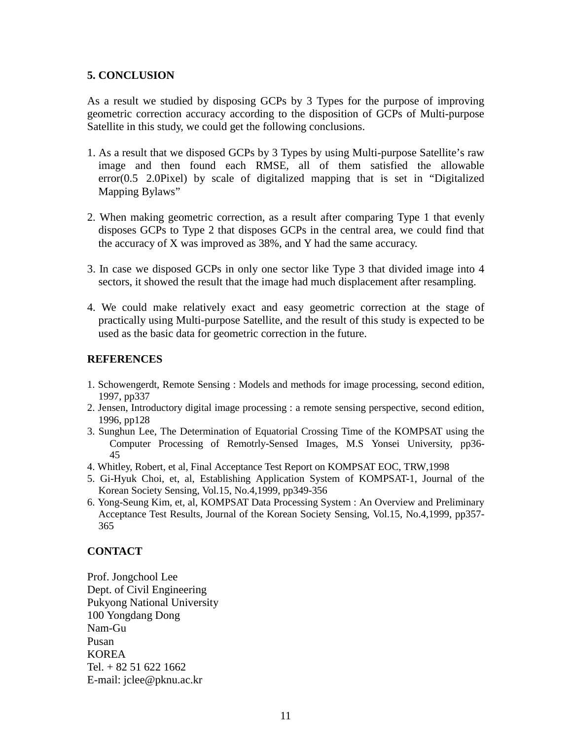# **5. CONCLUSION**

As a result we studied by disposing GCPs by 3 Types for the purpose of improving geometric correction accuracy according to the disposition of GCPs of Multi-purpose Satellite in this study, we could get the following conclusions.

- 1. As a result that we disposed GCPs by 3 Types by using Multi-purpose Satellite's raw image and then found each RMSE, all of them satisfied the allowable error(0.5 2.0Pixel) by scale of digitalized mapping that is set in "Digitalized Mapping Bylaws"
- 2. When making geometric correction, as a result after comparing Type 1 that evenly disposes GCPs to Type 2 that disposes GCPs in the central area, we could find that the accuracy of X was improved as 38%, and Y had the same accuracy.
- 3. In case we disposed GCPs in only one sector like Type 3 that divided image into 4 sectors, it showed the result that the image had much displacement after resampling.
- 4. We could make relatively exact and easy geometric correction at the stage of practically using Multi-purpose Satellite, and the result of this study is expected to be used as the basic data for geometric correction in the future.

## **REFERENCES**

- 1. Schowengerdt, Remote Sensing : Models and methods for image processing, second edition, 1997, pp337
- 2. Jensen, Introductory digital image processing : a remote sensing perspective, second edition, 1996, pp128
- 3. Sunghun Lee, The Determination of Equatorial Crossing Time of the KOMPSAT using the Computer Processing of Remotrly-Sensed Images, M.S Yonsei University, pp36-  $45$
- 4. Whitley, Robert, et al, Final Acceptance Test Report on KOMPSAT EOC, TRW,1998
- 5. Gi-Hyuk Choi, et, al, Establishing Application System of KOMPSAT-1, Journal of the Korean Society Sensing, Vol.15, No.4,1999, pp349-356
- 6. Yong-Seung Kim, et, al, KOMPSAT Data Processing System : An Overview and Preliminary Acceptance Test Results, Journal of the Korean Society Sensing, Vol.15, No.4,1999, pp357- 365

# **CONTACT**

Prof. Jongchool Lee Dept. of Civil Engineering Pukyong National University 100 Yongdang Dong Nam-Gu Pusan KOREA Tel. + 82 51 622 1662 E-mail: jclee@pknu.ac.kr